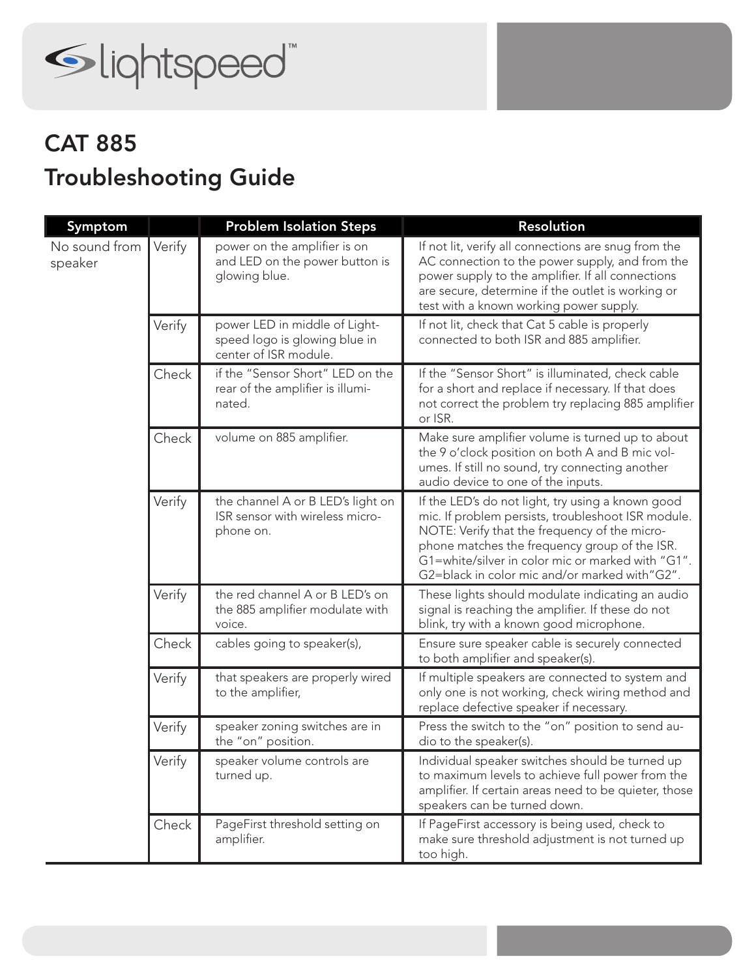

## Troubleshooting Guide CAT 885

| Symptom                  |        | <b>Problem Isolation Steps</b>                                                          | Resolution                                                                                                                                                                                                                                                                                                      |
|--------------------------|--------|-----------------------------------------------------------------------------------------|-----------------------------------------------------------------------------------------------------------------------------------------------------------------------------------------------------------------------------------------------------------------------------------------------------------------|
| No sound from<br>speaker | Verify | power on the amplifier is on<br>and LED on the power button is<br>glowing blue.         | If not lit, verify all connections are snug from the<br>AC connection to the power supply, and from the<br>power supply to the amplifier. If all connections<br>are secure, determine if the outlet is working or<br>test with a known working power supply.                                                    |
|                          | Verify | power LED in middle of Light-<br>speed logo is glowing blue in<br>center of ISR module. | If not lit, check that Cat 5 cable is properly<br>connected to both ISR and 885 amplifier.                                                                                                                                                                                                                      |
|                          | Check  | if the "Sensor Short" LED on the<br>rear of the amplifier is illumi-<br>nated.          | If the "Sensor Short" is illuminated, check cable<br>for a short and replace if necessary. If that does<br>not correct the problem try replacing 885 amplifier<br>or ISR.                                                                                                                                       |
|                          | Check  | volume on 885 amplifier.                                                                | Make sure amplifier volume is turned up to about<br>the 9 o'clock position on both A and B mic vol-<br>umes. If still no sound, try connecting another<br>audio device to one of the inputs.                                                                                                                    |
|                          | Verify | the channel A or B LED's light on<br>ISR sensor with wireless micro-<br>phone on.       | If the LED's do not light, try using a known good<br>mic. If problem persists, troubleshoot ISR module.<br>NOTE: Verify that the frequency of the micro-<br>phone matches the frequency group of the ISR.<br>G1=white/silver in color mic or marked with "G1".<br>G2=black in color mic and/or marked with"G2". |
|                          | Verify | the red channel A or B LED's on<br>the 885 amplifier modulate with<br>voice.            | These lights should modulate indicating an audio<br>signal is reaching the amplifier. If these do not<br>blink, try with a known good microphone.                                                                                                                                                               |
|                          | Check  | cables going to speaker(s),                                                             | Ensure sure speaker cable is securely connected<br>to both amplifier and speaker(s).                                                                                                                                                                                                                            |
|                          | Verify | that speakers are properly wired<br>to the amplifier,                                   | If multiple speakers are connected to system and<br>only one is not working, check wiring method and<br>replace defective speaker if necessary.                                                                                                                                                                 |
|                          | Verify | speaker zoning switches are in<br>the "on" position.                                    | Press the switch to the "on" position to send au-<br>dio to the speaker(s).                                                                                                                                                                                                                                     |
|                          | Verify | speaker volume controls are<br>turned up.                                               | Individual speaker switches should be turned up<br>to maximum levels to achieve full power from the<br>amplifier. If certain areas need to be quieter, those<br>speakers can be turned down.                                                                                                                    |
|                          | Check  | PageFirst threshold setting on<br>amplifier.                                            | If PageFirst accessory is being used, check to<br>make sure threshold adjustment is not turned up<br>too high.                                                                                                                                                                                                  |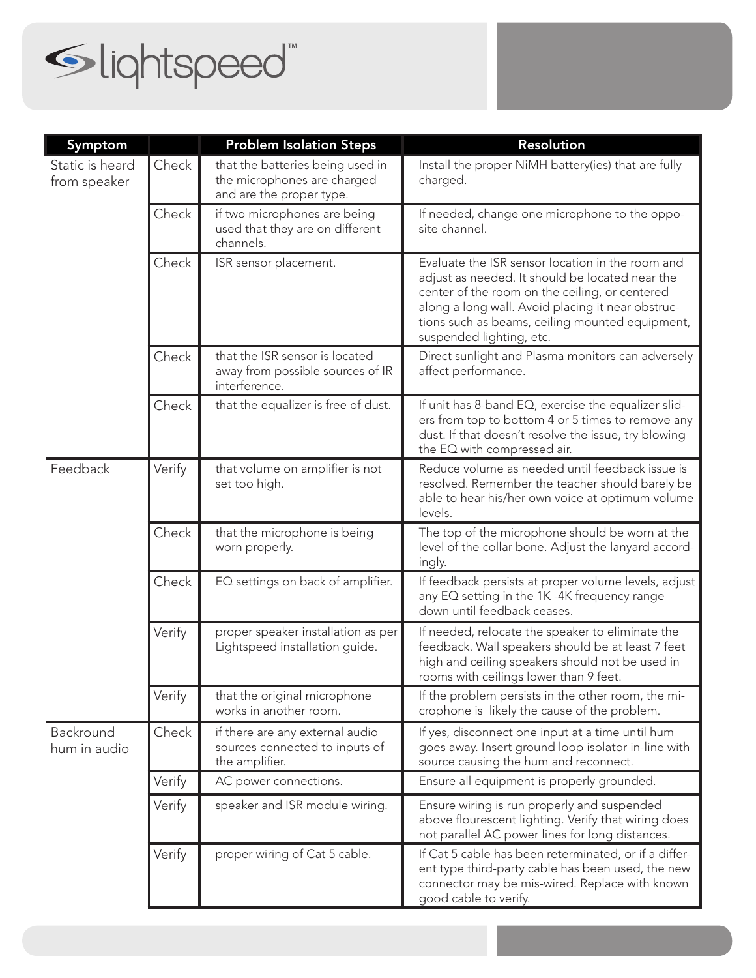

| Symptom                         |        | <b>Problem Isolation Steps</b>                                                              | Resolution                                                                                                                                                                                                                                                                                |
|---------------------------------|--------|---------------------------------------------------------------------------------------------|-------------------------------------------------------------------------------------------------------------------------------------------------------------------------------------------------------------------------------------------------------------------------------------------|
| Static is heard<br>from speaker | Check  | that the batteries being used in<br>the microphones are charged<br>and are the proper type. | Install the proper NiMH battery(ies) that are fully<br>charged.                                                                                                                                                                                                                           |
|                                 | Check  | if two microphones are being<br>used that they are on different<br>channels.                | If needed, change one microphone to the oppo-<br>site channel.                                                                                                                                                                                                                            |
|                                 | Check  | ISR sensor placement.                                                                       | Evaluate the ISR sensor location in the room and<br>adjust as needed. It should be located near the<br>center of the room on the ceiling, or centered<br>along a long wall. Avoid placing it near obstruc-<br>tions such as beams, ceiling mounted equipment,<br>suspended lighting, etc. |
|                                 | Check  | that the ISR sensor is located<br>away from possible sources of IR<br>interference.         | Direct sunlight and Plasma monitors can adversely<br>affect performance.                                                                                                                                                                                                                  |
|                                 | Check  | that the equalizer is free of dust.                                                         | If unit has 8-band EQ, exercise the equalizer slid-<br>ers from top to bottom 4 or 5 times to remove any<br>dust. If that doesn't resolve the issue, try blowing<br>the EQ with compressed air.                                                                                           |
| Feedback                        | Verify | that volume on amplifier is not<br>set too high.                                            | Reduce volume as needed until feedback issue is<br>resolved. Remember the teacher should barely be<br>able to hear his/her own voice at optimum volume<br>levels.                                                                                                                         |
|                                 | Check  | that the microphone is being<br>worn properly.                                              | The top of the microphone should be worn at the<br>level of the collar bone. Adjust the lanyard accord-<br>ingly.                                                                                                                                                                         |
|                                 | Check  | EQ settings on back of amplifier.                                                           | If feedback persists at proper volume levels, adjust<br>any EQ setting in the 1K-4K frequency range<br>down until feedback ceases.                                                                                                                                                        |
|                                 | Verify | proper speaker installation as per<br>Lightspeed installation guide.                        | If needed, relocate the speaker to eliminate the<br>feedback. Wall speakers should be at least 7 feet<br>high and ceiling speakers should not be used in<br>rooms with ceilings lower than 9 feet.                                                                                        |
|                                 | Verify | that the original microphone<br>works in another room.                                      | If the problem persists in the other room, the mi-<br>crophone is likely the cause of the problem.                                                                                                                                                                                        |
| Backround<br>hum in audio       | Check  | if there are any external audio<br>sources connected to inputs of<br>the amplifier.         | If yes, disconnect one input at a time until hum<br>goes away. Insert ground loop isolator in-line with<br>source causing the hum and reconnect.                                                                                                                                          |
|                                 | Verify | AC power connections.                                                                       | Ensure all equipment is properly grounded.                                                                                                                                                                                                                                                |
|                                 | Verify | speaker and ISR module wiring.                                                              | Ensure wiring is run properly and suspended<br>above flourescent lighting. Verify that wiring does<br>not parallel AC power lines for long distances.                                                                                                                                     |
|                                 | Verify | proper wiring of Cat 5 cable.                                                               | If Cat 5 cable has been reterminated, or if a differ-<br>ent type third-party cable has been used, the new<br>connector may be mis-wired. Replace with known<br>good cable to verify.                                                                                                     |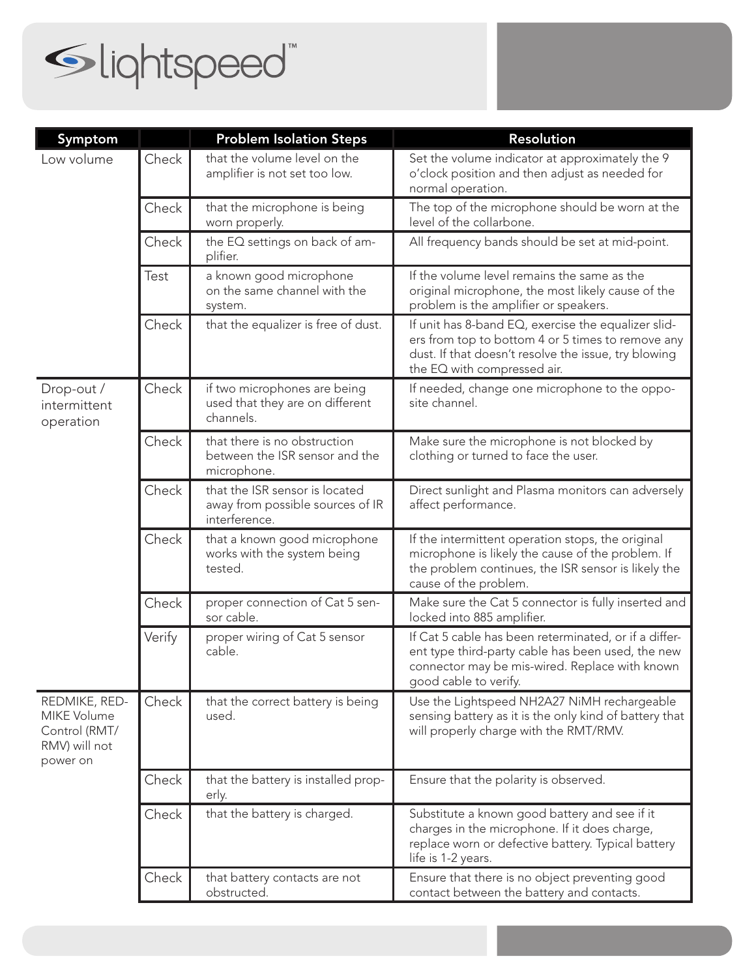

| Symptom                                                                    |        | <b>Problem Isolation Steps</b>                                                      | <b>Resolution</b>                                                                                                                                                                               |
|----------------------------------------------------------------------------|--------|-------------------------------------------------------------------------------------|-------------------------------------------------------------------------------------------------------------------------------------------------------------------------------------------------|
| Low volume                                                                 | Check  | that the volume level on the<br>amplifier is not set too low.                       | Set the volume indicator at approximately the 9<br>o'clock position and then adjust as needed for<br>normal operation.                                                                          |
|                                                                            | Check  | that the microphone is being<br>worn properly.                                      | The top of the microphone should be worn at the<br>level of the collarbone.                                                                                                                     |
|                                                                            | Check  | the EQ settings on back of am-<br>plifier.                                          | All frequency bands should be set at mid-point.                                                                                                                                                 |
|                                                                            | Test   | a known good microphone<br>on the same channel with the<br>system.                  | If the volume level remains the same as the<br>original microphone, the most likely cause of the<br>problem is the amplifier or speakers.                                                       |
|                                                                            | Check  | that the equalizer is free of dust.                                                 | If unit has 8-band EQ, exercise the equalizer slid-<br>ers from top to bottom 4 or 5 times to remove any<br>dust. If that doesn't resolve the issue, try blowing<br>the EQ with compressed air. |
| Drop-out /<br>intermittent<br>operation                                    | Check  | if two microphones are being<br>used that they are on different<br>channels.        | If needed, change one microphone to the oppo-<br>site channel.                                                                                                                                  |
|                                                                            | Check  | that there is no obstruction<br>between the ISR sensor and the<br>microphone.       | Make sure the microphone is not blocked by<br>clothing or turned to face the user.                                                                                                              |
|                                                                            | Check  | that the ISR sensor is located<br>away from possible sources of IR<br>interference. | Direct sunlight and Plasma monitors can adversely<br>affect performance.                                                                                                                        |
|                                                                            | Check  | that a known good microphone<br>works with the system being<br>tested.              | If the intermittent operation stops, the original<br>microphone is likely the cause of the problem. If<br>the problem continues, the ISR sensor is likely the<br>cause of the problem.          |
|                                                                            | Check  | proper connection of Cat 5 sen-<br>sor cable.                                       | Make sure the Cat 5 connector is fully inserted and<br>locked into 885 amplifier.                                                                                                               |
|                                                                            | Verify | proper wiring of Cat 5 sensor<br>cable.                                             | If Cat 5 cable has been reterminated, or if a differ-<br>ent type third-party cable has been used, the new<br>connector may be mis-wired. Replace with known<br>good cable to verify.           |
| REDMIKE, RED-<br>MIKE Volume<br>Control (RMT/<br>RMV) will not<br>power on | Check  | that the correct battery is being<br>used.                                          | Use the Lightspeed NH2A27 NiMH rechargeable<br>sensing battery as it is the only kind of battery that<br>will properly charge with the RMT/RMV.                                                 |
|                                                                            | Check  | that the battery is installed prop-<br>erly.                                        | Ensure that the polarity is observed.                                                                                                                                                           |
|                                                                            | Check  | that the battery is charged.                                                        | Substitute a known good battery and see if it<br>charges in the microphone. If it does charge,<br>replace worn or defective battery. Typical battery<br>life is 1-2 years.                      |
|                                                                            | Check  | that battery contacts are not<br>obstructed.                                        | Ensure that there is no object preventing good<br>contact between the battery and contacts.                                                                                                     |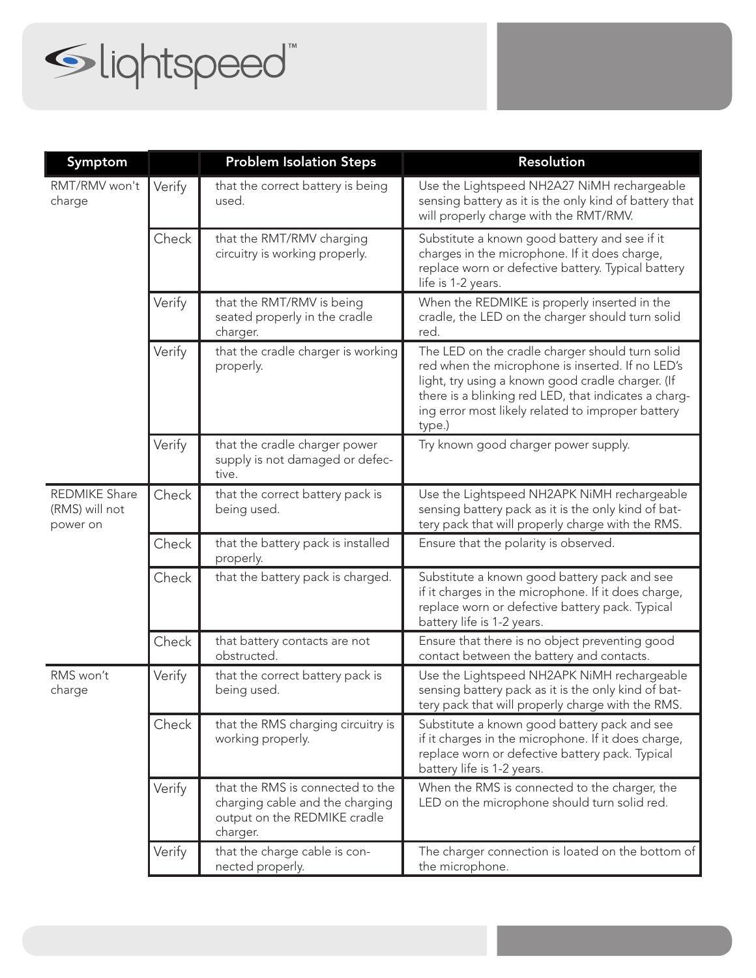

| Symptom                                            |        | <b>Problem Isolation Steps</b>                                                                                  | <b>Resolution</b>                                                                                                                                                                                                                                                               |
|----------------------------------------------------|--------|-----------------------------------------------------------------------------------------------------------------|---------------------------------------------------------------------------------------------------------------------------------------------------------------------------------------------------------------------------------------------------------------------------------|
| RMT/RMV won't<br>charge                            | Verify | that the correct battery is being<br>used.                                                                      | Use the Lightspeed NH2A27 NiMH rechargeable<br>sensing battery as it is the only kind of battery that<br>will properly charge with the RMT/RMV.                                                                                                                                 |
|                                                    | Check  | that the RMT/RMV charging<br>circuitry is working properly.                                                     | Substitute a known good battery and see if it<br>charges in the microphone. If it does charge,<br>replace worn or defective battery. Typical battery<br>life is 1-2 years.                                                                                                      |
|                                                    | Verify | that the RMT/RMV is being<br>seated properly in the cradle<br>charger.                                          | When the REDMIKE is properly inserted in the<br>cradle, the LED on the charger should turn solid<br>red.                                                                                                                                                                        |
|                                                    | Verify | that the cradle charger is working<br>properly.                                                                 | The LED on the cradle charger should turn solid<br>red when the microphone is inserted. If no LED's<br>light, try using a known good cradle charger. (If<br>there is a blinking red LED, that indicates a charg-<br>ing error most likely related to improper battery<br>type.) |
|                                                    | Verify | that the cradle charger power<br>supply is not damaged or defec-<br>tive.                                       | Try known good charger power supply.                                                                                                                                                                                                                                            |
| <b>REDMIKE Share</b><br>(RMS) will not<br>power on | Check  | that the correct battery pack is<br>being used.                                                                 | Use the Lightspeed NH2APK NiMH rechargeable<br>sensing battery pack as it is the only kind of bat-<br>tery pack that will properly charge with the RMS.                                                                                                                         |
|                                                    | Check  | that the battery pack is installed<br>properly.                                                                 | Ensure that the polarity is observed.                                                                                                                                                                                                                                           |
|                                                    | Check  | that the battery pack is charged.                                                                               | Substitute a known good battery pack and see<br>if it charges in the microphone. If it does charge,<br>replace worn or defective battery pack. Typical<br>battery life is 1-2 years.                                                                                            |
|                                                    | Check  | that battery contacts are not<br>obstructed.                                                                    | Ensure that there is no object preventing good<br>contact between the battery and contacts.                                                                                                                                                                                     |
| RMS won't<br>charge                                | Verify | that the correct battery pack is<br>being used.                                                                 | Use the Lightspeed NH2APK NiMH rechargeable<br>sensing battery pack as it is the only kind of bat-<br>tery pack that will properly charge with the RMS.                                                                                                                         |
|                                                    | Check  | that the RMS charging circuitry is<br>working properly.                                                         | Substitute a known good battery pack and see<br>if it charges in the microphone. If it does charge,<br>replace worn or defective battery pack. Typical<br>battery life is 1-2 years.                                                                                            |
|                                                    | Verify | that the RMS is connected to the<br>charging cable and the charging<br>output on the REDMIKE cradle<br>charger. | When the RMS is connected to the charger, the<br>LED on the microphone should turn solid red.                                                                                                                                                                                   |
|                                                    | Verify | that the charge cable is con-<br>nected properly.                                                               | The charger connection is loated on the bottom of<br>the microphone.                                                                                                                                                                                                            |